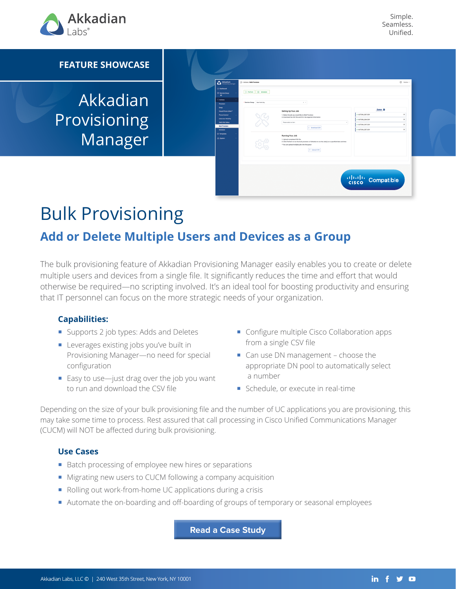

Simple. Seamless. Unified.

#### **FEATURE SHOWCASE**

Akkadian Provisioning Manager

| Perform   (ii) Schedule         |                                                                                                                                       |                                                                                                                                                             |          |
|---------------------------------|---------------------------------------------------------------------------------------------------------------------------------------|-------------------------------------------------------------------------------------------------------------------------------------------------------------|----------|
|                                 |                                                                                                                                       |                                                                                                                                                             |          |
| * Service Group   New York City | $x - x$                                                                                                                               |                                                                                                                                                             |          |
| Swap<br>Visual Phone Editor"    |                                                                                                                                       | Queue O                                                                                                                                                     |          |
|                                 | 1. Select the job you would like to Bulk Provision                                                                                    | v ACTION_587.CSV                                                                                                                                            | ×        |
|                                 |                                                                                                                                       | ACTION_SS4.CSV                                                                                                                                              | ×        |
|                                 |                                                                                                                                       | ACTION_297.CSV                                                                                                                                              | ×        |
|                                 |                                                                                                                                       | ACTION_587.CSV                                                                                                                                              | $\times$ |
|                                 | Running Your Job                                                                                                                      |                                                                                                                                                             |          |
|                                 | 1. Upload completed CSV file<br>2. Click Perform to run the bulk provision or Schedule to run the Job(s) at a specified date and time |                                                                                                                                                             |          |
|                                 | * You can upload multiple jobs into the queue                                                                                         |                                                                                                                                                             |          |
|                                 |                                                                                                                                       |                                                                                                                                                             |          |
|                                 |                                                                                                                                       |                                                                                                                                                             |          |
|                                 |                                                                                                                                       |                                                                                                                                                             |          |
|                                 |                                                                                                                                       |                                                                                                                                                             |          |
|                                 |                                                                                                                                       | Setting Up Your Job<br>2. Download the CSV file and fill in the required information<br>Please select an item<br>$\epsilon$<br>2 Download CSV<br>Upload CSV |          |

# Bulk Provisioning

## **Add or Delete Multiple Users and Devices as a Group**

The bulk provisioning feature of Akkadian Provisioning Manager easily enables you to create or delete multiple users and devices from a single file. It significantly reduces the time and effort that would otherwise be required—no scripting involved. It's an ideal tool for boosting productivity and ensuring that IT personnel can focus on the more strategic needs of your organization.

#### **Capabilities:**

- Supports 2 job types: Adds and Deletes
- **Leverages existing jobs you've built in** Provisioning Manager—no need for special configuration
- Easy to use—just drag over the job you want to run and download the CSV file
- Configure multiple Cisco Collaboration apps from a single CSV file
- Can use DN management choose the appropriate DN pool to automatically select a number
- Schedule, or execute in real-time

Depending on the size of your bulk provisioning file and the number of UC applications you are provisioning, this may take some time to process. Rest assured that call processing in Cisco Unified Communications Manager (CUCM) will NOT be affected during bulk provisioning.

#### **Use Cases**

- Batch processing of employee new hires or separations
- Migrating new users to CUCM following a company acquisition
- Rolling out work-from-home UC applications during a crisis
- Automate the on-boarding and off-boarding of groups of temporary or seasonal employees